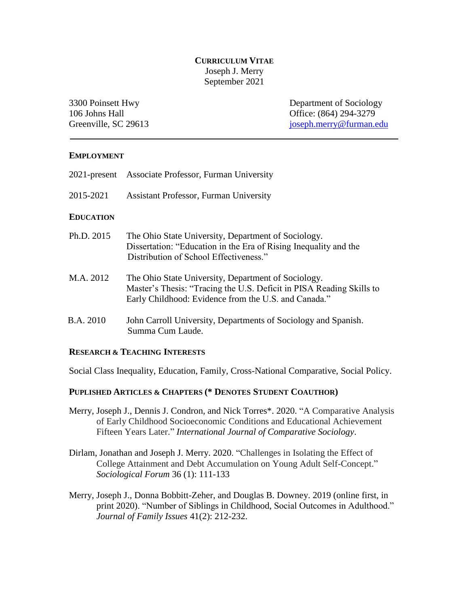## **CURRICULUM VITAE** Joseph J. Merry September 2021

3300 Poinsett Hwy Department of Sociology 106 Johns Hall **Office**: (864) 294-3279 Greenville, SC 29613 [joseph.merry@furman.edu](mailto:joseph.merry@furman.edu)

#### **EMPLOYMENT**

- 2021-present Associate Professor, Furman University
- 2015-2021 Assistant Professor, Furman University

#### **EDUCATION**

- Ph.D. 2015 The Ohio State University, Department of Sociology. Dissertation: "Education in the Era of Rising Inequality and the Distribution of School Effectiveness."
- M.A. 2012 The Ohio State University, Department of Sociology. Master's Thesis: "Tracing the U.S. Deficit in PISA Reading Skills to Early Childhood: Evidence from the U.S. and Canada."
- B.A. 2010 John Carroll University, Departments of Sociology and Spanish. Summa Cum Laude.

#### **RESEARCH & TEACHING INTERESTS**

Social Class Inequality, Education, Family, Cross-National Comparative, Social Policy.

#### **PUPLISHED ARTICLES & CHAPTERS (\* DENOTES STUDENT COAUTHOR)**

- Merry, Joseph J., Dennis J. Condron, and Nick Torres\*. 2020. "A Comparative Analysis of Early Childhood Socioeconomic Conditions and Educational Achievement Fifteen Years Later." *International Journal of Comparative Sociology*.
- Dirlam, Jonathan and Joseph J. Merry. 2020. "Challenges in Isolating the Effect of College Attainment and Debt Accumulation on Young Adult Self-Concept." *Sociological Forum* 36 (1): 111-133
- Merry, Joseph J., Donna Bobbitt-Zeher, and Douglas B. Downey. 2019 (online first, in print 2020). "Number of Siblings in Childhood, Social Outcomes in Adulthood." *Journal of Family Issues* 41(2): 212-232.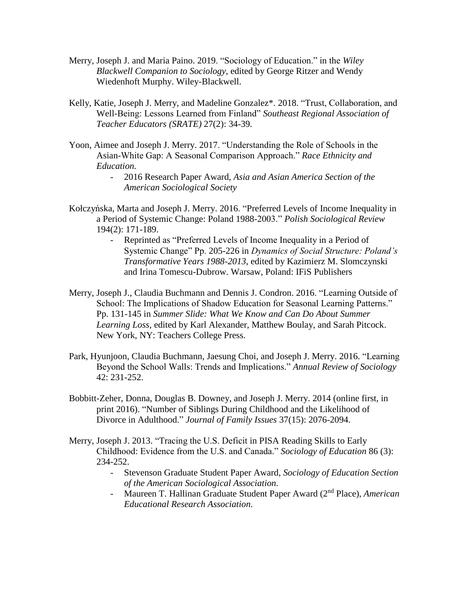- Merry, Joseph J. and Maria Paino. 2019. "Sociology of Education." in the *Wiley Blackwell Companion to Sociology*, edited by George Ritzer and Wendy Wiedenhoft Murphy. Wiley-Blackwell.
- Kelly, Katie, Joseph J. Merry, and Madeline Gonzalez\*. 2018. "Trust, Collaboration, and Well-Being: Lessons Learned from Finland" *Southeast Regional Association of Teacher Educators (SRATE)* 27(2): 34-39*.*
- Yoon, Aimee and Joseph J. Merry. 2017. "Understanding the Role of Schools in the Asian-White Gap: A Seasonal Comparison Approach." *Race Ethnicity and Education.* 
	- 2016 Research Paper Award, *Asia and Asian America Section of the American Sociological Society*
- Kołczyńska, Marta and Joseph J. Merry. 2016. "Preferred Levels of Income Inequality in a Period of Systemic Change: Poland 1988-2003." *Polish Sociological Review* 194(2): 171-189.
	- Reprinted as "Preferred Levels of Income Inequality in a Period of Systemic Change" Pp. 205-226 in *Dynamics of Social Structure: Poland's Transformative Years 1988-2013*, edited by Kazimierz M. Slomczynski and Irina Tomescu-Dubrow. Warsaw, Poland: IFiS Publishers
- Merry, Joseph J., Claudia Buchmann and Dennis J. Condron. 2016. "Learning Outside of School: The Implications of Shadow Education for Seasonal Learning Patterns." Pp. 131-145 in *Summer Slide: What We Know and Can Do About Summer Learning Loss*, edited by Karl Alexander, Matthew Boulay, and Sarah Pitcock. New York, NY: Teachers College Press.
- Park, Hyunjoon, Claudia Buchmann, Jaesung Choi, and Joseph J. Merry. 2016. "Learning Beyond the School Walls: Trends and Implications." *Annual Review of Sociology* 42: 231-252.
- Bobbitt-Zeher, Donna, Douglas B. Downey, and Joseph J. Merry. 2014 (online first, in print 2016). "Number of Siblings During Childhood and the Likelihood of Divorce in Adulthood." *Journal of Family Issues* 37(15): 2076-2094.
- Merry, Joseph J. 2013. "Tracing the U.S. Deficit in PISA Reading Skills to Early Childhood: Evidence from the U.S. and Canada." *Sociology of Education* 86 (3): 234-252.
	- Stevenson Graduate Student Paper Award, *Sociology of Education Section of the American Sociological Association.*
	- Maureen T. Hallinan Graduate Student Paper Award (2nd Place), *American Educational Research Association.*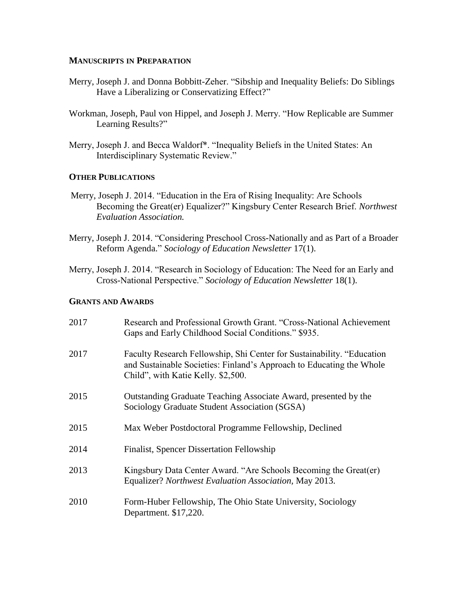#### **MANUSCRIPTS IN PREPARATION**

- Merry, Joseph J. and Donna Bobbitt-Zeher. "Sibship and Inequality Beliefs: Do Siblings Have a Liberalizing or Conservatizing Effect?"
- Workman, Joseph, Paul von Hippel, and Joseph J. Merry. "How Replicable are Summer Learning Results?"
- Merry, Joseph J. and Becca Waldorf\*. "Inequality Beliefs in the United States: An Interdisciplinary Systematic Review."

## **OTHER PUBLICATIONS**

- Merry, Joseph J. 2014. "Education in the Era of Rising Inequality: Are Schools Becoming the Great(er) Equalizer?" Kingsbury Center Research Brief. *Northwest Evaluation Association.*
- Merry, Joseph J. 2014. "Considering Preschool Cross-Nationally and as Part of a Broader Reform Agenda." *Sociology of Education Newsletter* 17(1).
- Merry, Joseph J. 2014. "Research in Sociology of Education: The Need for an Early and Cross-National Perspective." *Sociology of Education Newsletter* 18(1).

### **GRANTS AND AWARDS**

| 2017 | Research and Professional Growth Grant. "Cross-National Achievement<br>Gaps and Early Childhood Social Conditions." \$935.                                                           |
|------|--------------------------------------------------------------------------------------------------------------------------------------------------------------------------------------|
| 2017 | Faculty Research Fellowship, Shi Center for Sustainability. "Education<br>and Sustainable Societies: Finland's Approach to Educating the Whole<br>Child", with Katie Kelly. \$2,500. |
| 2015 | Outstanding Graduate Teaching Associate Award, presented by the<br>Sociology Graduate Student Association (SGSA)                                                                     |
| 2015 | Max Weber Postdoctoral Programme Fellowship, Declined                                                                                                                                |
| 2014 | <b>Finalist, Spencer Dissertation Fellowship</b>                                                                                                                                     |
| 2013 | Kingsbury Data Center Award. "Are Schools Becoming the Great(er)<br>Equalizer? Northwest Evaluation Association, May 2013.                                                           |
| 2010 | Form-Huber Fellowship, The Ohio State University, Sociology<br>Department. \$17,220.                                                                                                 |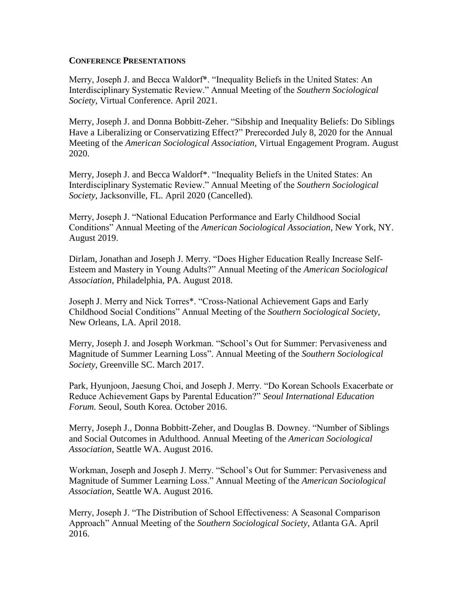#### **CONFERENCE PRESENTATIONS**

Merry, Joseph J. and Becca Waldorf\*. "Inequality Beliefs in the United States: An Interdisciplinary Systematic Review." Annual Meeting of the *Southern Sociological Society*, Virtual Conference. April 2021.

Merry, Joseph J. and Donna Bobbitt-Zeher. "Sibship and Inequality Beliefs: Do Siblings Have a Liberalizing or Conservatizing Effect?" Prerecorded July 8, 2020 for the Annual Meeting of the *American Sociological Association,* Virtual Engagement Program. August 2020.

Merry, Joseph J. and Becca Waldorf\*. "Inequality Beliefs in the United States: An Interdisciplinary Systematic Review." Annual Meeting of the *Southern Sociological Society*, Jacksonville, FL. April 2020 (Cancelled).

Merry, Joseph J. "National Education Performance and Early Childhood Social Conditions" Annual Meeting of the *American Sociological Association*, New York, NY. August 2019.

Dirlam, Jonathan and Joseph J. Merry. "Does Higher Education Really Increase Self-Esteem and Mastery in Young Adults?" Annual Meeting of the *American Sociological Association*, Philadelphia, PA. August 2018.

Joseph J. Merry and Nick Torres\*. "Cross-National Achievement Gaps and Early Childhood Social Conditions" Annual Meeting of the *Southern Sociological Society*, New Orleans, LA. April 2018.

Merry, Joseph J. and Joseph Workman. "School's Out for Summer: Pervasiveness and Magnitude of Summer Learning Loss". Annual Meeting of the *Southern Sociological Society*, Greenville SC. March 2017.

Park, Hyunjoon, Jaesung Choi, and Joseph J. Merry. "Do Korean Schools Exacerbate or Reduce Achievement Gaps by Parental Education?" *Seoul International Education Forum.* Seoul, South Korea. October 2016.

Merry, Joseph J., Donna Bobbitt-Zeher, and Douglas B. Downey. "Number of Siblings and Social Outcomes in Adulthood. Annual Meeting of the *American Sociological Association*, Seattle WA. August 2016.

Workman, Joseph and Joseph J. Merry. "School's Out for Summer: Pervasiveness and Magnitude of Summer Learning Loss." Annual Meeting of the *American Sociological Association*, Seattle WA. August 2016.

Merry, Joseph J. "The Distribution of School Effectiveness: A Seasonal Comparison Approach" Annual Meeting of the *Southern Sociological Society*, Atlanta GA. April 2016.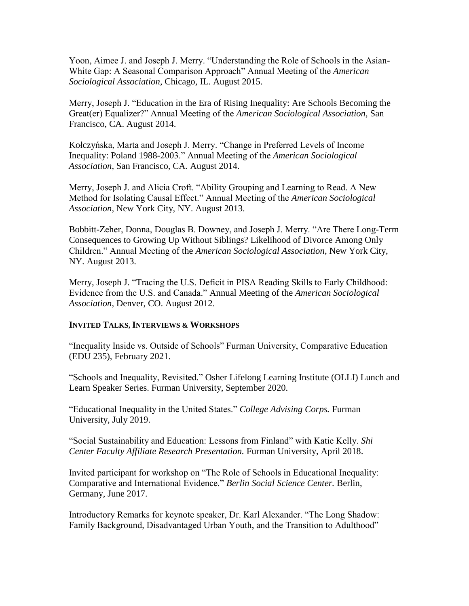Yoon, Aimee J. and Joseph J. Merry. "Understanding the Role of Schools in the Asian-White Gap: A Seasonal Comparison Approach" Annual Meeting of the *American Sociological Association*, Chicago, IL. August 2015.

Merry, Joseph J. "Education in the Era of Rising Inequality: Are Schools Becoming the Great(er) Equalizer?" Annual Meeting of the *American Sociological Association,* San Francisco, CA. August 2014.

Kołczyńska, Marta and Joseph J. Merry. "Change in Preferred Levels of Income Inequality: Poland 1988-2003." Annual Meeting of the *American Sociological Association*, San Francisco, CA. August 2014.

Merry, Joseph J. and Alicia Croft. "Ability Grouping and Learning to Read. A New Method for Isolating Causal Effect." Annual Meeting of the *American Sociological Association*, New York City, NY. August 2013.

Bobbitt-Zeher, Donna, Douglas B. Downey, and Joseph J. Merry. "Are There Long-Term Consequences to Growing Up Without Siblings? Likelihood of Divorce Among Only Children." Annual Meeting of the *American Sociological Association*, New York City, NY. August 2013.

Merry, Joseph J. "Tracing the U.S. Deficit in PISA Reading Skills to Early Childhood: Evidence from the U.S. and Canada." Annual Meeting of the *American Sociological Association*, Denver, CO. August 2012.

# **INVITED TALKS, INTERVIEWS & WORKSHOPS**

"Inequality Inside vs. Outside of Schools" Furman University, Comparative Education (EDU 235), February 2021.

"Schools and Inequality, Revisited." Osher Lifelong Learning Institute (OLLI) Lunch and Learn Speaker Series. Furman University, September 2020.

"Educational Inequality in the United States." *College Advising Corps.* Furman University, July 2019.

"Social Sustainability and Education: Lessons from Finland" with Katie Kelly. *Shi Center Faculty Affiliate Research Presentation.* Furman University, April 2018.

Invited participant for workshop on "The Role of Schools in Educational Inequality: Comparative and International Evidence." *Berlin Social Science Center.* Berlin, Germany, June 2017.

Introductory Remarks for keynote speaker, Dr. Karl Alexander. "The Long Shadow: Family Background, Disadvantaged Urban Youth, and the Transition to Adulthood"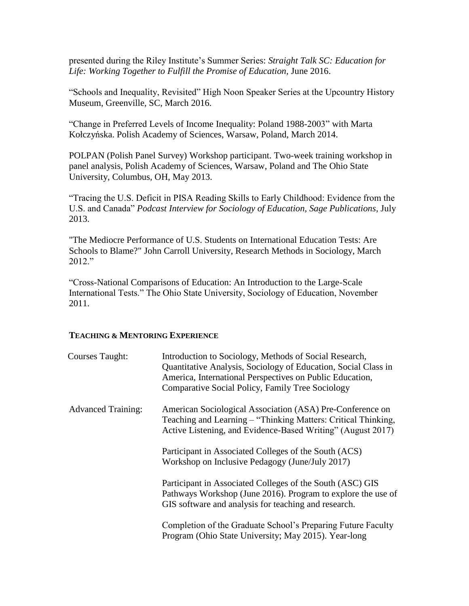presented during the Riley Institute's Summer Series: *Straight Talk SC: Education for*  Life: Working Together to Fulfill the Promise of Education, June 2016.

"Schools and Inequality, Revisited" High Noon Speaker Series at the Upcountry History Museum, Greenville, SC, March 2016.

"Change in Preferred Levels of Income Inequality: Poland 1988-2003" with Marta Kołczyńska. Polish Academy of Sciences, Warsaw, Poland, March 2014.

POLPAN (Polish Panel Survey) Workshop participant. Two-week training workshop in panel analysis, Polish Academy of Sciences, Warsaw, Poland and The Ohio State University, Columbus, OH, May 2013.

"Tracing the U.S. Deficit in PISA Reading Skills to Early Childhood: Evidence from the U.S. and Canada" *Podcast Interview for Sociology of Education, Sage Publications*, July 2013.

"The Mediocre Performance of U.S. Students on International Education Tests: Are Schools to Blame?" John Carroll University, Research Methods in Sociology, March 2012."

"Cross-National Comparisons of Education: An Introduction to the Large-Scale International Tests." The Ohio State University, Sociology of Education, November 2011.

## **TEACHING & MENTORING EXPERIENCE**

| <b>Courses Taught:</b>    | Introduction to Sociology, Methods of Social Research,<br>Quantitative Analysis, Sociology of Education, Social Class in<br>America, International Perspectives on Public Education,<br>Comparative Social Policy, Family Tree Sociology |
|---------------------------|------------------------------------------------------------------------------------------------------------------------------------------------------------------------------------------------------------------------------------------|
| <b>Advanced Training:</b> | American Sociological Association (ASA) Pre-Conference on<br>Teaching and Learning – "Thinking Matters: Critical Thinking,<br>Active Listening, and Evidence-Based Writing" (August 2017)                                                |
|                           | Participant in Associated Colleges of the South (ACS)<br>Workshop on Inclusive Pedagogy (June/July 2017)                                                                                                                                 |
|                           | Participant in Associated Colleges of the South (ASC) GIS<br>Pathways Workshop (June 2016). Program to explore the use of<br>GIS software and analysis for teaching and research.                                                        |
|                           | Completion of the Graduate School's Preparing Future Faculty<br>Program (Ohio State University; May 2015). Year-long                                                                                                                     |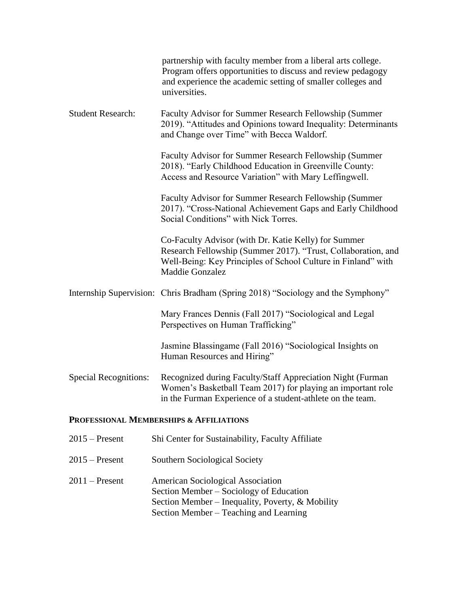|                              | partnership with faculty member from a liberal arts college.<br>Program offers opportunities to discuss and review pedagogy<br>and experience the academic setting of smaller colleges and<br>universities.      |
|------------------------------|------------------------------------------------------------------------------------------------------------------------------------------------------------------------------------------------------------------|
| <b>Student Research:</b>     | Faculty Advisor for Summer Research Fellowship (Summer<br>2019). "Attitudes and Opinions toward Inequality: Determinants<br>and Change over Time" with Becca Waldorf.                                            |
|                              | Faculty Advisor for Summer Research Fellowship (Summer<br>2018). "Early Childhood Education in Greenville County:<br>Access and Resource Variation" with Mary Leffingwell.                                       |
|                              | Faculty Advisor for Summer Research Fellowship (Summer<br>2017). "Cross-National Achievement Gaps and Early Childhood<br>Social Conditions" with Nick Torres.                                                    |
|                              | Co-Faculty Advisor (with Dr. Katie Kelly) for Summer<br>Research Fellowship (Summer 2017). "Trust, Collaboration, and<br>Well-Being: Key Principles of School Culture in Finland" with<br><b>Maddie Gonzalez</b> |
|                              | Internship Supervision: Chris Bradham (Spring 2018) "Sociology and the Symphony"                                                                                                                                 |
|                              | Mary Frances Dennis (Fall 2017) "Sociological and Legal<br>Perspectives on Human Trafficking"                                                                                                                    |
|                              | Jasmine Blassingame (Fall 2016) "Sociological Insights on<br>Human Resources and Hiring"                                                                                                                         |
| <b>Special Recognitions:</b> | Recognized during Faculty/Staff Appreciation Night (Furman<br>Women's Basketball Team 2017) for playing an important role<br>in the Furman Experience of a student-athlete on the team.                          |
| $\cdots$ Morrow              | savveda a Americanos                                                                                                                                                                                             |

#### **PROFESSIONAL MEMBERSHIPS & AFFILIATIONS**

- 2015 Present Shi Center for Sustainability, Faculty Affiliate
- 2015 Present Southern Sociological Society
- 2011 Present American Sociological Association Section Member – Sociology of Education Section Member – Inequality, Poverty, & Mobility Section Member – Teaching and Learning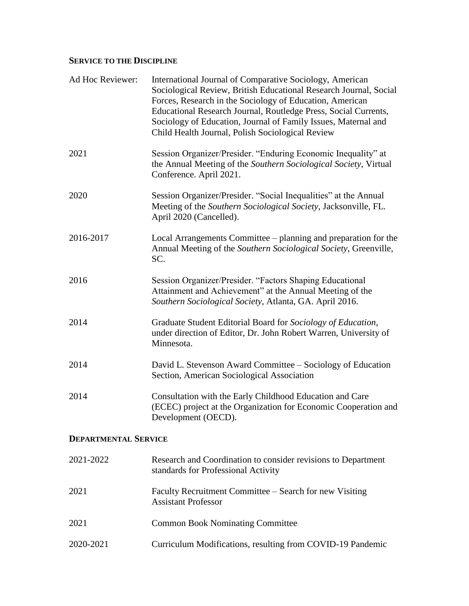# **SERVICE TO THE DISCIPLINE**

| Ad Hoc Reviewer:            | International Journal of Comparative Sociology, American<br>Sociological Review, British Educational Research Journal, Social<br>Forces, Research in the Sociology of Education, American<br>Educational Research Journal, Routledge Press, Social Currents,<br>Sociology of Education, Journal of Family Issues, Maternal and<br>Child Health Journal, Polish Sociological Review |
|-----------------------------|------------------------------------------------------------------------------------------------------------------------------------------------------------------------------------------------------------------------------------------------------------------------------------------------------------------------------------------------------------------------------------|
| 2021                        | Session Organizer/Presider. "Enduring Economic Inequality" at<br>the Annual Meeting of the Southern Sociological Society, Virtual<br>Conference. April 2021.                                                                                                                                                                                                                       |
| 2020                        | Session Organizer/Presider. "Social Inequalities" at the Annual<br>Meeting of the Southern Sociological Society, Jacksonville, FL.<br>April 2020 (Cancelled).                                                                                                                                                                                                                      |
| 2016-2017                   | Local Arrangements Committee – planning and preparation for the<br>Annual Meeting of the Southern Sociological Society, Greenville,<br>SC.                                                                                                                                                                                                                                         |
| 2016                        | Session Organizer/Presider. "Factors Shaping Educational<br>Attainment and Achievement" at the Annual Meeting of the<br>Southern Sociological Society, Atlanta, GA. April 2016.                                                                                                                                                                                                    |
| 2014                        | Graduate Student Editorial Board for Sociology of Education,<br>under direction of Editor, Dr. John Robert Warren, University of<br>Minnesota.                                                                                                                                                                                                                                     |
| 2014                        | David L. Stevenson Award Committee – Sociology of Education<br>Section, American Sociological Association                                                                                                                                                                                                                                                                          |
| 2014                        | Consultation with the Early Childhood Education and Care<br>(ECEC) project at the Organization for Economic Cooperation and<br>Development (OECD).                                                                                                                                                                                                                                 |
| <b>DEPARTMENTAL SERVICE</b> |                                                                                                                                                                                                                                                                                                                                                                                    |
| 2021-2022                   | Research and Coordination to consider revisions to Department<br>standards for Professional Activity                                                                                                                                                                                                                                                                               |
| 2021                        | Faculty Recruitment Committee – Search for new Visiting<br><b>Assistant Professor</b>                                                                                                                                                                                                                                                                                              |
| 2021                        | <b>Common Book Nominating Committee</b>                                                                                                                                                                                                                                                                                                                                            |
| 2020-2021                   | Curriculum Modifications, resulting from COVID-19 Pandemic                                                                                                                                                                                                                                                                                                                         |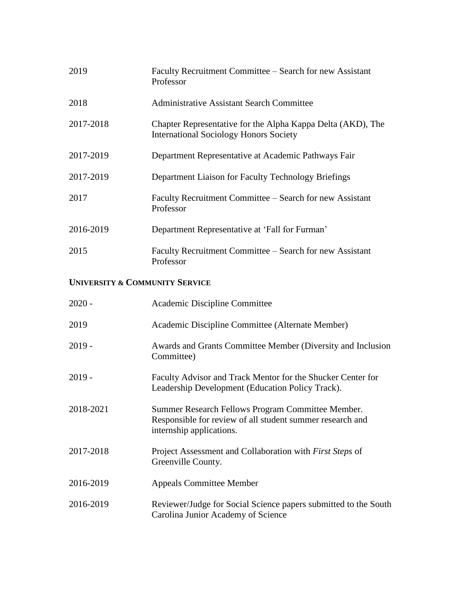| 2019      | Faculty Recruitment Committee – Search for new Assistant<br>Professor                                        |
|-----------|--------------------------------------------------------------------------------------------------------------|
| 2018      | Administrative Assistant Search Committee                                                                    |
| 2017-2018 | Chapter Representative for the Alpha Kappa Delta (AKD), The<br><b>International Sociology Honors Society</b> |
| 2017-2019 | Department Representative at Academic Pathways Fair                                                          |
| 2017-2019 | Department Liaison for Faculty Technology Briefings                                                          |
| 2017      | Faculty Recruitment Committee – Search for new Assistant<br>Professor                                        |
| 2016-2019 | Department Representative at 'Fall for Furman'                                                               |
| 2015      | Faculty Recruitment Committee – Search for new Assistant<br>Professor                                        |

# **UNIVERSITY & COMMUNITY SERVICE**

| $2020 -$  | Academic Discipline Committee                                                                                                              |
|-----------|--------------------------------------------------------------------------------------------------------------------------------------------|
| 2019      | Academic Discipline Committee (Alternate Member)                                                                                           |
| $2019 -$  | Awards and Grants Committee Member (Diversity and Inclusion<br>Committee)                                                                  |
| $2019 -$  | Faculty Advisor and Track Mentor for the Shucker Center for<br>Leadership Development (Education Policy Track).                            |
| 2018-2021 | Summer Research Fellows Program Committee Member.<br>Responsible for review of all student summer research and<br>internship applications. |
| 2017-2018 | Project Assessment and Collaboration with <i>First Steps</i> of<br>Greenville County.                                                      |
| 2016-2019 | <b>Appeals Committee Member</b>                                                                                                            |
| 2016-2019 | Reviewer/Judge for Social Science papers submitted to the South<br>Carolina Junior Academy of Science                                      |